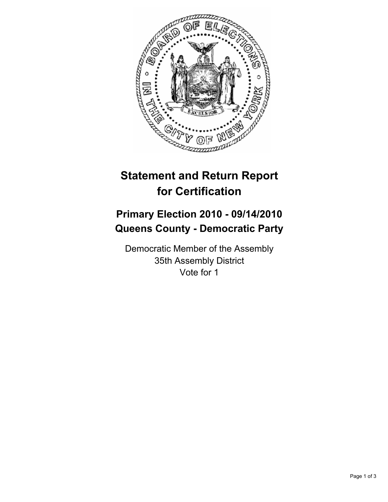

## **Statement and Return Report for Certification**

## **Primary Election 2010 - 09/14/2010 Queens County - Democratic Party**

Democratic Member of the Assembly 35th Assembly District Vote for 1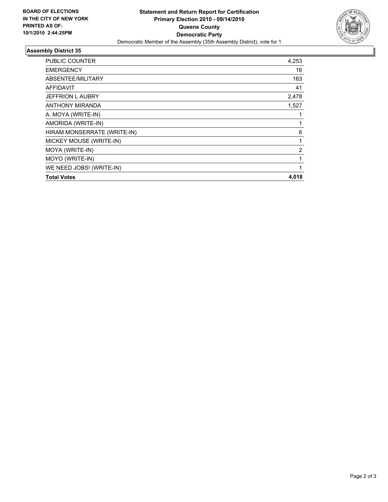

## **Assembly District 35**

| PUBLIC COUNTER              | 4,253          |
|-----------------------------|----------------|
| <b>EMERGENCY</b>            | 16             |
| ABSENTEE/MILITARY           | 163            |
| <b>AFFIDAVIT</b>            | 41             |
| <b>JEFFRION L AUBRY</b>     | 2,478          |
| <b>ANTHONY MIRANDA</b>      | 1,527          |
| A. MOYA (WRITE-IN)          | 1              |
| AMORIDA (WRITE-IN)          | 1              |
| HIRAM MONSERRATE (WRITE-IN) | 6              |
| MICKEY MOUSE (WRITE-IN)     | 1              |
| MOYA (WRITE-IN)             | $\overline{2}$ |
| MOYO (WRITE-IN)             | 1              |
| WE NEED JOBS! (WRITE-IN)    | 1              |
| <b>Total Votes</b>          | 4,018          |